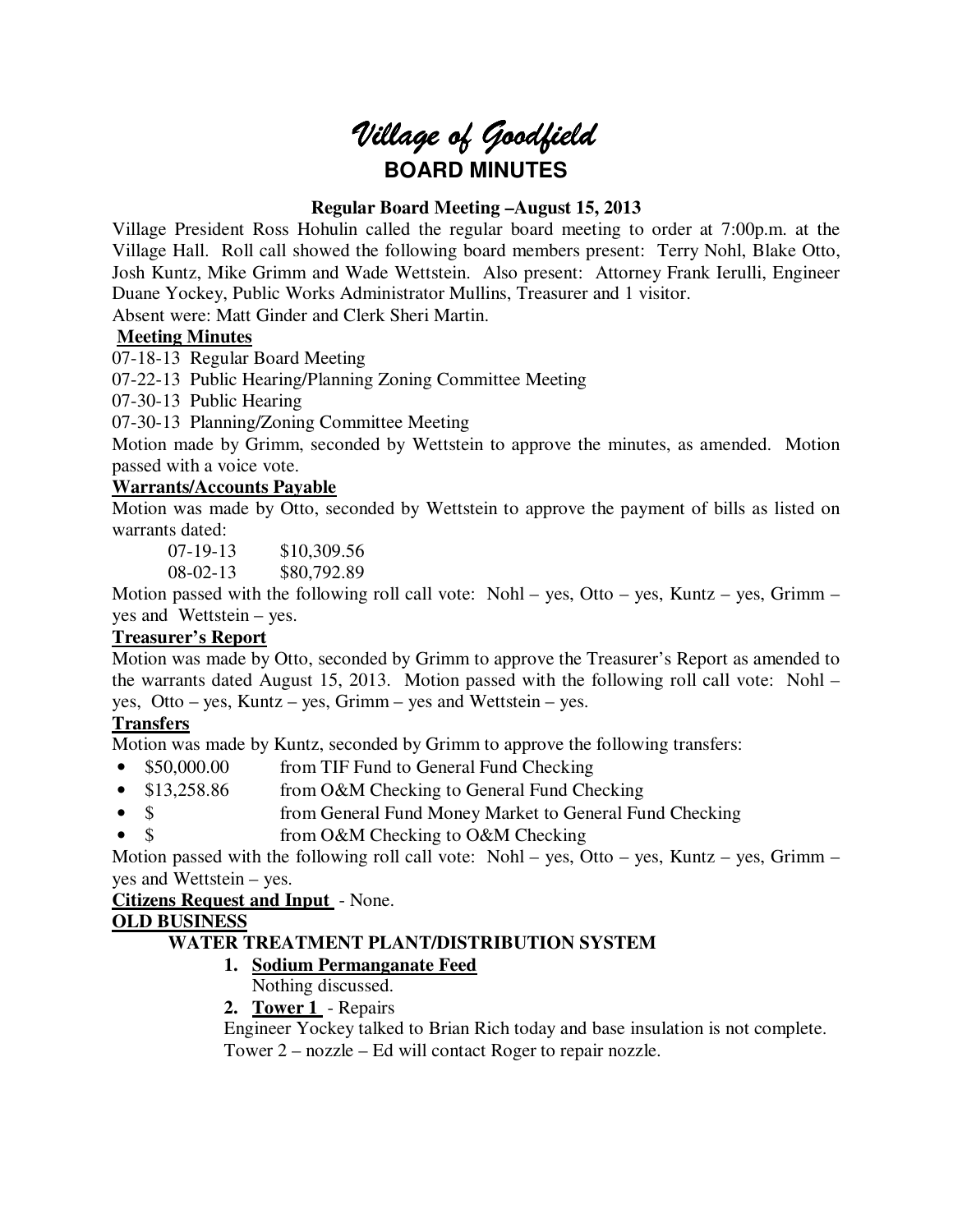# *Village of Goodfield* **BOARD MINUTES**

# **Regular Board Meeting –August 15, 2013**

Village President Ross Hohulin called the regular board meeting to order at 7:00p.m. at the Village Hall. Roll call showed the following board members present: Terry Nohl, Blake Otto, Josh Kuntz, Mike Grimm and Wade Wettstein. Also present: Attorney Frank Ierulli, Engineer Duane Yockey, Public Works Administrator Mullins, Treasurer and 1 visitor.

Absent were: Matt Ginder and Clerk Sheri Martin.

# **Meeting Minutes**

07-18-13 Regular Board Meeting

07-22-13 Public Hearing/Planning Zoning Committee Meeting

07-30-13 Public Hearing

07-30-13 Planning/Zoning Committee Meeting

Motion made by Grimm, seconded by Wettstein to approve the minutes, as amended. Motion passed with a voice vote.

# **Warrants/Accounts Payable**

Motion was made by Otto, seconded by Wettstein to approve the payment of bills as listed on warrants dated:

07-19-13 \$10,309.56

08-02-13 \$80,792.89

Motion passed with the following roll call vote: Nohl – yes, Otto – yes, Kuntz – yes, Grimm – yes and Wettstein – yes.

## **Treasurer's Report**

Motion was made by Otto, seconded by Grimm to approve the Treasurer's Report as amended to the warrants dated August 15, 2013. Motion passed with the following roll call vote: Nohl – yes, Otto – yes, Kuntz – yes, Grimm – yes and Wettstein – yes.

# **Transfers**

Motion was made by Kuntz, seconded by Grimm to approve the following transfers:

- \$50,000.00 from TIF Fund to General Fund Checking
- \$13,258.86 from O&M Checking to General Fund Checking
- \$ from General Fund Money Market to General Fund Checking
- \$ from O&M Checking to O&M Checking

Motion passed with the following roll call vote: Nohl – yes, Otto – yes, Kuntz – yes, Grimm – yes and Wettstein – yes.

**Citizens Request and Input** - None.

# **OLD BUSINESS**

# **WATER TREATMENT PLANT/DISTRIBUTION SYSTEM**

# **1. Sodium Permanganate Feed**

- Nothing discussed.
- **2. Tower 1**  Repairs

Engineer Yockey talked to Brian Rich today and base insulation is not complete. Tower 2 – nozzle – Ed will contact Roger to repair nozzle.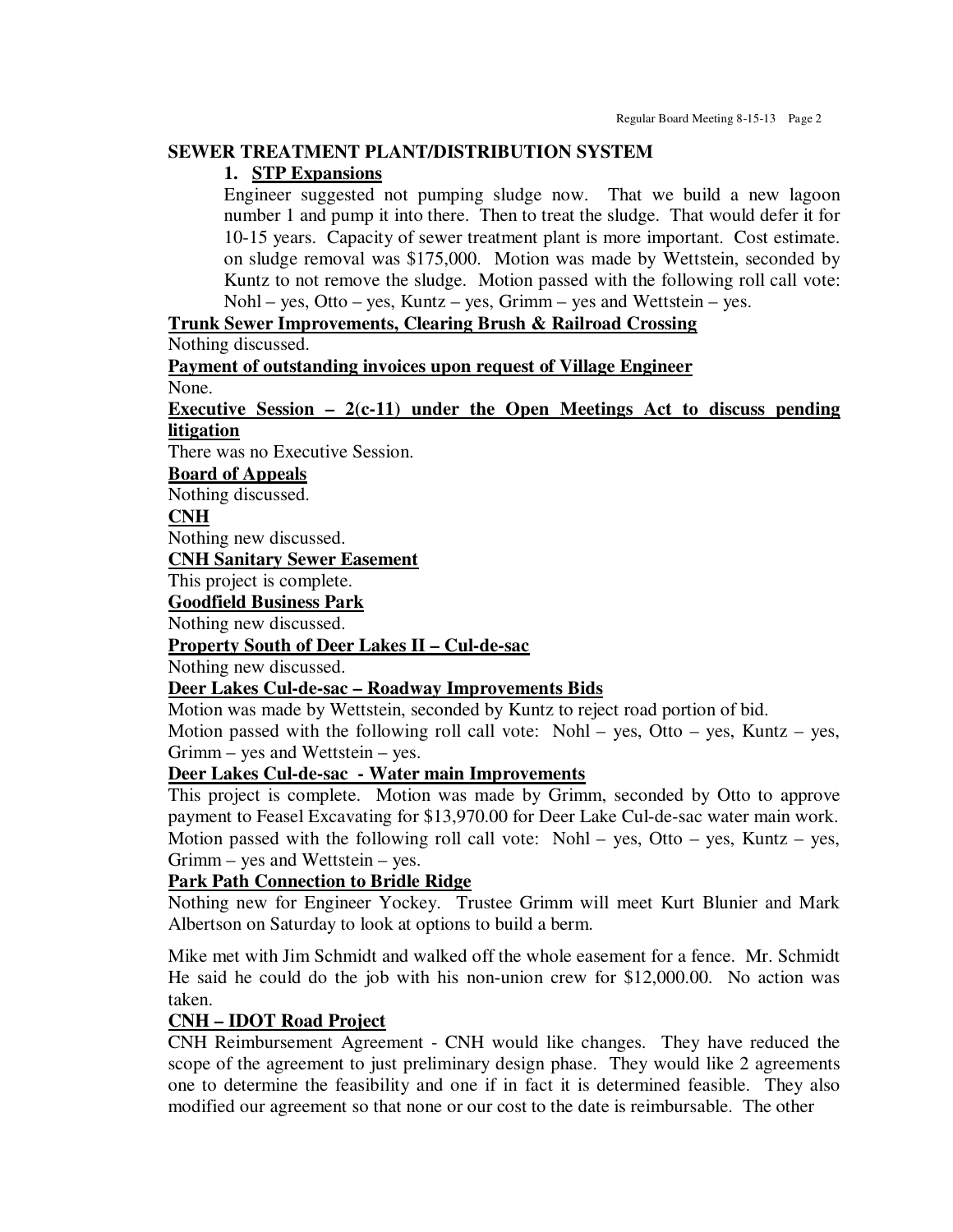#### **SEWER TREATMENT PLANT/DISTRIBUTION SYSTEM**

#### **1. STP Expansions**

Engineer suggested not pumping sludge now. That we build a new lagoon number 1 and pump it into there. Then to treat the sludge. That would defer it for 10-15 years. Capacity of sewer treatment plant is more important. Cost estimate. on sludge removal was \$175,000. Motion was made by Wettstein, seconded by Kuntz to not remove the sludge. Motion passed with the following roll call vote: Nohl – yes, Otto – yes, Kuntz – yes, Grimm – yes and Wettstein – yes.

#### **Trunk Sewer Improvements, Clearing Brush & Railroad Crossing**

Nothing discussed.

**Payment of outstanding invoices upon request of Village Engineer** 

None.

#### **Executive Session – 2(c-11) under the Open Meetings Act to discuss pending litigation**

There was no Executive Session.

# **Board of Appeals**

Nothing discussed.

#### **CNH**

Nothing new discussed.

**CNH Sanitary Sewer Easement** 

This project is complete.

**Goodfield Business Park** 

Nothing new discussed.

#### **Property South of Deer Lakes II – Cul-de-sac**

Nothing new discussed.

#### **Deer Lakes Cul-de-sac – Roadway Improvements Bids**

Motion was made by Wettstein, seconded by Kuntz to reject road portion of bid.

Motion passed with the following roll call vote: Nohl – yes, Otto – yes, Kuntz – yes, Grimm – yes and Wettstein – yes.

# **Deer Lakes Cul-de-sac - Water main Improvements**

This project is complete. Motion was made by Grimm, seconded by Otto to approve payment to Feasel Excavating for \$13,970.00 for Deer Lake Cul-de-sac water main work. Motion passed with the following roll call vote: Nohl – yes, Otto – yes, Kuntz – yes, Grimm – yes and Wettstein – yes.

## **Park Path Connection to Bridle Ridge**

Nothing new for Engineer Yockey. Trustee Grimm will meet Kurt Blunier and Mark Albertson on Saturday to look at options to build a berm.

Mike met with Jim Schmidt and walked off the whole easement for a fence. Mr. Schmidt He said he could do the job with his non-union crew for \$12,000.00. No action was taken.

#### **CNH – IDOT Road Project**

CNH Reimbursement Agreement - CNH would like changes. They have reduced the scope of the agreement to just preliminary design phase. They would like 2 agreements one to determine the feasibility and one if in fact it is determined feasible. They also modified our agreement so that none or our cost to the date is reimbursable. The other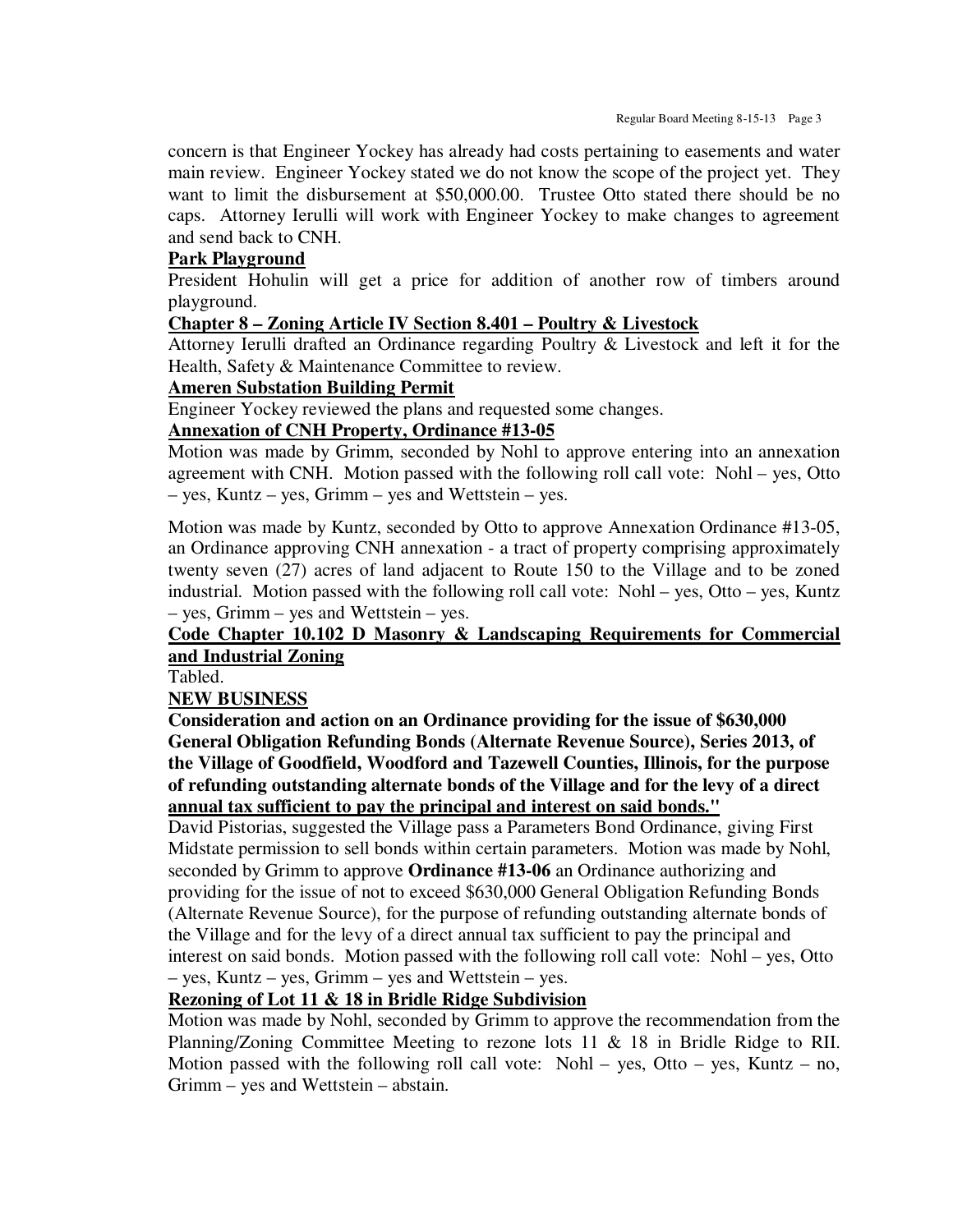concern is that Engineer Yockey has already had costs pertaining to easements and water main review. Engineer Yockey stated we do not know the scope of the project yet. They want to limit the disbursement at \$50,000.00. Trustee Otto stated there should be no caps. Attorney Ierulli will work with Engineer Yockey to make changes to agreement and send back to CNH.

### **Park Playground**

President Hohulin will get a price for addition of another row of timbers around playground.

#### **Chapter 8 – Zoning Article IV Section 8.401 – Poultry & Livestock**

Attorney Ierulli drafted an Ordinance regarding Poultry & Livestock and left it for the Health, Safety & Maintenance Committee to review.

#### **Ameren Substation Building Permit**

Engineer Yockey reviewed the plans and requested some changes.

# **Annexation of CNH Property, Ordinance #13-05**

Motion was made by Grimm, seconded by Nohl to approve entering into an annexation agreement with CNH. Motion passed with the following roll call vote: Nohl – yes, Otto – yes, Kuntz – yes, Grimm – yes and Wettstein – yes.

Motion was made by Kuntz, seconded by Otto to approve Annexation Ordinance #13-05, an Ordinance approving CNH annexation - a tract of property comprising approximately twenty seven (27) acres of land adjacent to Route 150 to the Village and to be zoned industrial. Motion passed with the following roll call vote: Nohl – yes, Otto – yes, Kuntz – yes, Grimm – yes and Wettstein – yes.

## **Code Chapter 10.102 D Masonry & Landscaping Requirements for Commercial and Industrial Zoning**

Tabled.

## **NEW BUSINESS**

**Consideration and action on an Ordinance providing for the issue of \$630,000 General Obligation Refunding Bonds (Alternate Revenue Source), Series 2013, of the Village of Goodfield, Woodford and Tazewell Counties, Illinois, for the purpose of refunding outstanding alternate bonds of the Village and for the levy of a direct annual tax sufficient to pay the principal and interest on said bonds."** 

David Pistorias, suggested the Village pass a Parameters Bond Ordinance, giving First Midstate permission to sell bonds within certain parameters. Motion was made by Nohl, seconded by Grimm to approve **Ordinance #13-06** an Ordinance authorizing and providing for the issue of not to exceed \$630,000 General Obligation Refunding Bonds (Alternate Revenue Source), for the purpose of refunding outstanding alternate bonds of the Village and for the levy of a direct annual tax sufficient to pay the principal and interest on said bonds. Motion passed with the following roll call vote: Nohl – yes, Otto – yes, Kuntz – yes, Grimm – yes and Wettstein – yes.

## **Rezoning of Lot 11 & 18 in Bridle Ridge Subdivision**

Motion was made by Nohl, seconded by Grimm to approve the recommendation from the Planning/Zoning Committee Meeting to rezone lots 11 & 18 in Bridle Ridge to RII. Motion passed with the following roll call vote: Nohl – yes, Otto – yes, Kuntz – no, Grimm – yes and Wettstein – abstain.